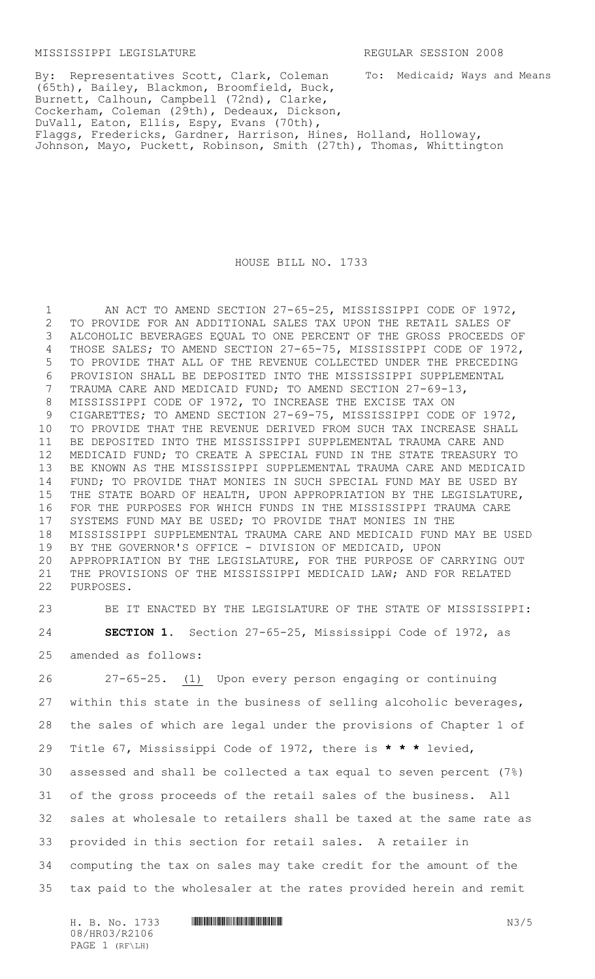To: Medicaid; Ways and Means

By: Representatives Scott, Clark, Coleman (65th), Bailey, Blackmon, Broomfield, Buck, Burnett, Calhoun, Campbell (72nd), Clarke, Cockerham, Coleman (29th), Dedeaux, Dickson, DuVall, Eaton, Ellis, Espy, Evans (70th), Flaggs, Fredericks, Gardner, Harrison, Hines, Holland, Holloway, Johnson, Mayo, Puckett, Robinson, Smith (27th), Thomas, Whittington

## HOUSE BILL NO. 1733

1 AN ACT TO AMEND SECTION 27-65-25, MISSISSIPPI CODE OF 1972, TO PROVIDE FOR AN ADDITIONAL SALES TAX UPON THE RETAIL SALES OF ALCOHOLIC BEVERAGES EQUAL TO ONE PERCENT OF THE GROSS PROCEEDS OF THOSE SALES; TO AMEND SECTION 27-65-75, MISSISSIPPI CODE OF 1972, TO PROVIDE THAT ALL OF THE REVENUE COLLECTED UNDER THE PRECEDING PROVISION SHALL BE DEPOSITED INTO THE MISSISSIPPI SUPPLEMENTAL TRAUMA CARE AND MEDICAID FUND; TO AMEND SECTION 27-69-13, MISSISSIPPI CODE OF 1972, TO INCREASE THE EXCISE TAX ON CIGARETTES; TO AMEND SECTION 27-69-75, MISSISSIPPI CODE OF 1972, TO PROVIDE THAT THE REVENUE DERIVED FROM SUCH TAX INCREASE SHALL BE DEPOSITED INTO THE MISSISSIPPI SUPPLEMENTAL TRAUMA CARE AND MEDICAID FUND; TO CREATE A SPECIAL FUND IN THE STATE TREASURY TO BE KNOWN AS THE MISSISSIPPI SUPPLEMENTAL TRAUMA CARE AND MEDICAID FUND; TO PROVIDE THAT MONIES IN SUCH SPECIAL FUND MAY BE USED BY THE STATE BOARD OF HEALTH, UPON APPROPRIATION BY THE LEGISLATURE, FOR THE PURPOSES FOR WHICH FUNDS IN THE MISSISSIPPI TRAUMA CARE SYSTEMS FUND MAY BE USED; TO PROVIDE THAT MONIES IN THE MISSISSIPPI SUPPLEMENTAL TRAUMA CARE AND MEDICAID FUND MAY BE USED BY THE GOVERNOR'S OFFICE - DIVISION OF MEDICAID, UPON APPROPRIATION BY THE LEGISLATURE, FOR THE PURPOSE OF CARRYING OUT THE PROVISIONS OF THE MISSISSIPPI MEDICAID LAW; AND FOR RELATED PURPOSES.

 BE IT ENACTED BY THE LEGISLATURE OF THE STATE OF MISSISSIPPI: **SECTION 1.** Section 27-65-25, Mississippi Code of 1972, as amended as follows:

 27-65-25. (1) Upon every person engaging or continuing within this state in the business of selling alcoholic beverages, the sales of which are legal under the provisions of Chapter 1 of Title 67, Mississippi Code of 1972, there is **\* \* \*** levied, assessed and shall be collected a tax equal to seven percent (7%) of the gross proceeds of the retail sales of the business. All sales at wholesale to retailers shall be taxed at the same rate as provided in this section for retail sales. A retailer in computing the tax on sales may take credit for the amount of the tax paid to the wholesaler at the rates provided herein and remit

08/HR03/R2106 PAGE 1 (RF\LH)

H. B. No. 1733 **HRONAID CONSUMING A CONSUMING A CONSUMING A CONSUMING A CONSUMING A CONSUMING A CONSUMING A CONSUMING A CONSUMING A CONSUMING A CONSUMING A CONSUMING A CONSUMING A CONSUMING A CONSUMING A CONSUMING A CONSUM**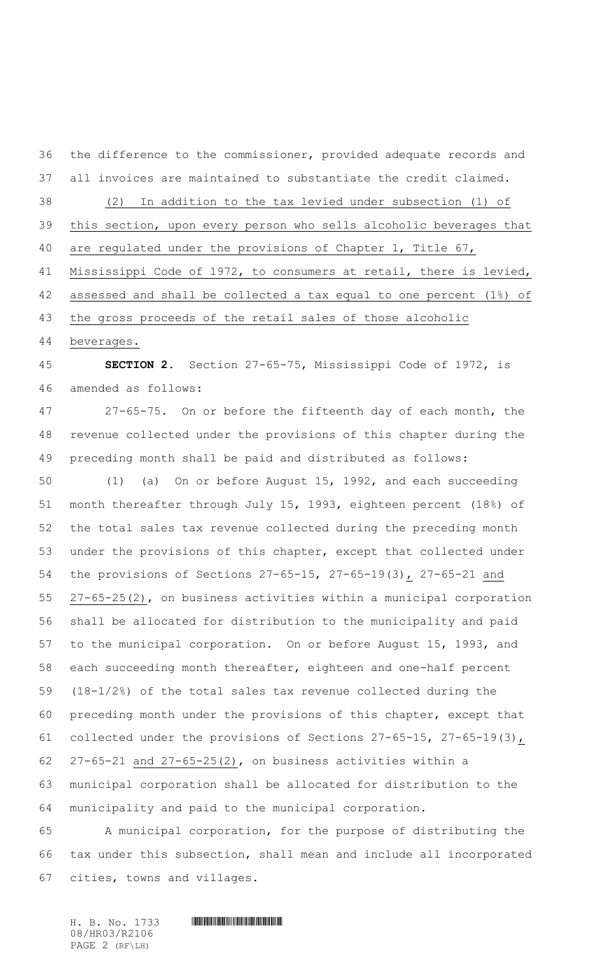the difference to the commissioner, provided adequate records and

all invoices are maintained to substantiate the credit claimed.

(2) In addition to the tax levied under subsection (1) of

this section, upon every person who sells alcoholic beverages that

are regulated under the provisions of Chapter 1, Title 67,

Mississippi Code of 1972, to consumers at retail, there is levied,

assessed and shall be collected a tax equal to one percent (1%) of

the gross proceeds of the retail sales of those alcoholic

beverages.

 **SECTION 2.** Section 27-65-75, Mississippi Code of 1972, is amended as follows:

 27-65-75. On or before the fifteenth day of each month, the revenue collected under the provisions of this chapter during the preceding month shall be paid and distributed as follows:

 (1) (a) On or before August 15, 1992, and each succeeding month thereafter through July 15, 1993, eighteen percent (18%) of the total sales tax revenue collected during the preceding month under the provisions of this chapter, except that collected under the provisions of Sections 27-65-15, 27-65-19(3), 27-65-21 and 27-65-25(2), on business activities within a municipal corporation shall be allocated for distribution to the municipality and paid to the municipal corporation. On or before August 15, 1993, and each succeeding month thereafter, eighteen and one-half percent (18-1/2%) of the total sales tax revenue collected during the preceding month under the provisions of this chapter, except that collected under the provisions of Sections 27-65-15, 27-65-19(3), 27-65-21 and 27-65-25(2), on business activities within a municipal corporation shall be allocated for distribution to the municipality and paid to the municipal corporation.

 A municipal corporation, for the purpose of distributing the tax under this subsection, shall mean and include all incorporated cities, towns and villages.

08/HR03/R2106 PAGE 2 (RF\LH)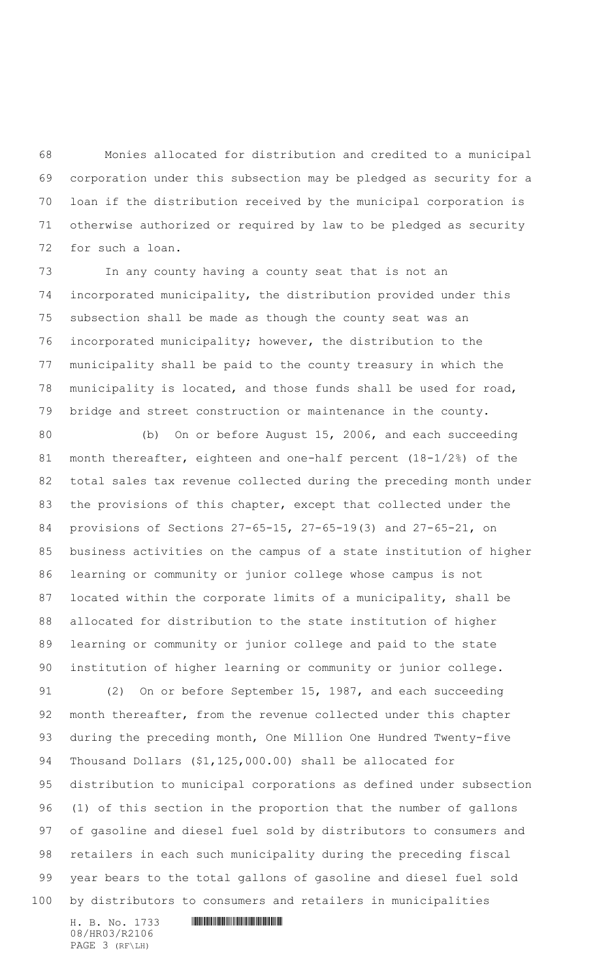Monies allocated for distribution and credited to a municipal corporation under this subsection may be pledged as security for a loan if the distribution received by the municipal corporation is otherwise authorized or required by law to be pledged as security for such a loan.

 In any county having a county seat that is not an incorporated municipality, the distribution provided under this subsection shall be made as though the county seat was an incorporated municipality; however, the distribution to the municipality shall be paid to the county treasury in which the municipality is located, and those funds shall be used for road, bridge and street construction or maintenance in the county.

 (b) On or before August 15, 2006, and each succeeding month thereafter, eighteen and one-half percent (18-1/2%) of the total sales tax revenue collected during the preceding month under the provisions of this chapter, except that collected under the provisions of Sections 27-65-15, 27-65-19(3) and 27-65-21, on business activities on the campus of a state institution of higher learning or community or junior college whose campus is not located within the corporate limits of a municipality, shall be allocated for distribution to the state institution of higher learning or community or junior college and paid to the state institution of higher learning or community or junior college.

 (2) On or before September 15, 1987, and each succeeding month thereafter, from the revenue collected under this chapter during the preceding month, One Million One Hundred Twenty-five Thousand Dollars (\$1,125,000.00) shall be allocated for distribution to municipal corporations as defined under subsection (1) of this section in the proportion that the number of gallons of gasoline and diesel fuel sold by distributors to consumers and retailers in each such municipality during the preceding fiscal year bears to the total gallons of gasoline and diesel fuel sold by distributors to consumers and retailers in municipalities

08/HR03/R2106 PAGE 3 (RF\LH)

H. B. No. 1733 **HIMMAN AND AND AN AND AN ANGLE OF A LIM**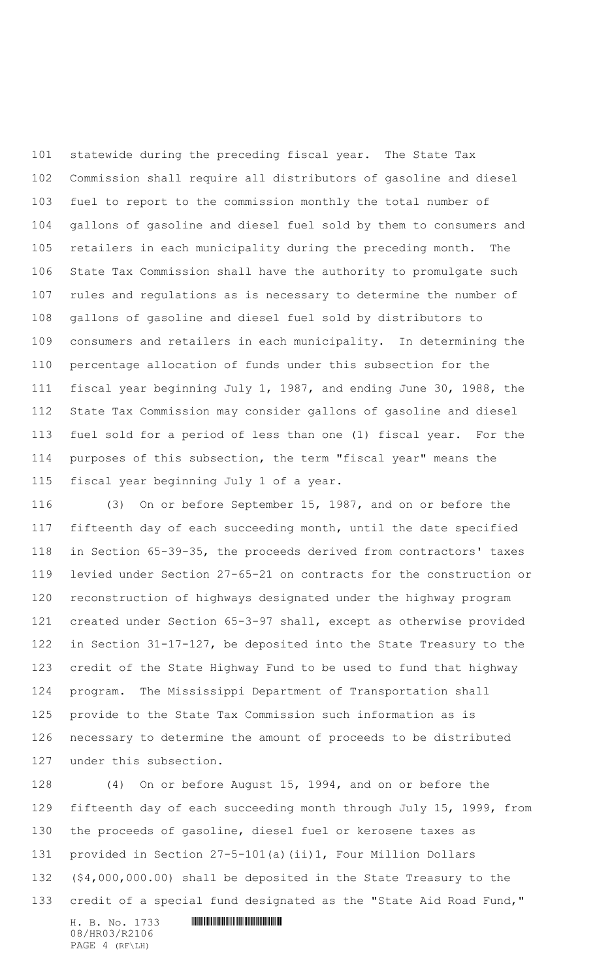statewide during the preceding fiscal year. The State Tax Commission shall require all distributors of gasoline and diesel fuel to report to the commission monthly the total number of gallons of gasoline and diesel fuel sold by them to consumers and retailers in each municipality during the preceding month. The State Tax Commission shall have the authority to promulgate such rules and regulations as is necessary to determine the number of gallons of gasoline and diesel fuel sold by distributors to consumers and retailers in each municipality. In determining the percentage allocation of funds under this subsection for the fiscal year beginning July 1, 1987, and ending June 30, 1988, the State Tax Commission may consider gallons of gasoline and diesel fuel sold for a period of less than one (1) fiscal year. For the purposes of this subsection, the term "fiscal year" means the fiscal year beginning July 1 of a year.

 (3) On or before September 15, 1987, and on or before the fifteenth day of each succeeding month, until the date specified in Section 65-39-35, the proceeds derived from contractors' taxes levied under Section 27-65-21 on contracts for the construction or reconstruction of highways designated under the highway program created under Section 65-3-97 shall, except as otherwise provided in Section 31-17-127, be deposited into the State Treasury to the credit of the State Highway Fund to be used to fund that highway program. The Mississippi Department of Transportation shall provide to the State Tax Commission such information as is necessary to determine the amount of proceeds to be distributed under this subsection.

 (4) On or before August 15, 1994, and on or before the fifteenth day of each succeeding month through July 15, 1999, from the proceeds of gasoline, diesel fuel or kerosene taxes as provided in Section 27-5-101(a)(ii)1, Four Million Dollars (\$4,000,000.00) shall be deposited in the State Treasury to the credit of a special fund designated as the "State Aid Road Fund,"

H. B. No. 1733 **. HUNT AND SERVE AREA** 08/HR03/R2106 PAGE 4 (RF\LH)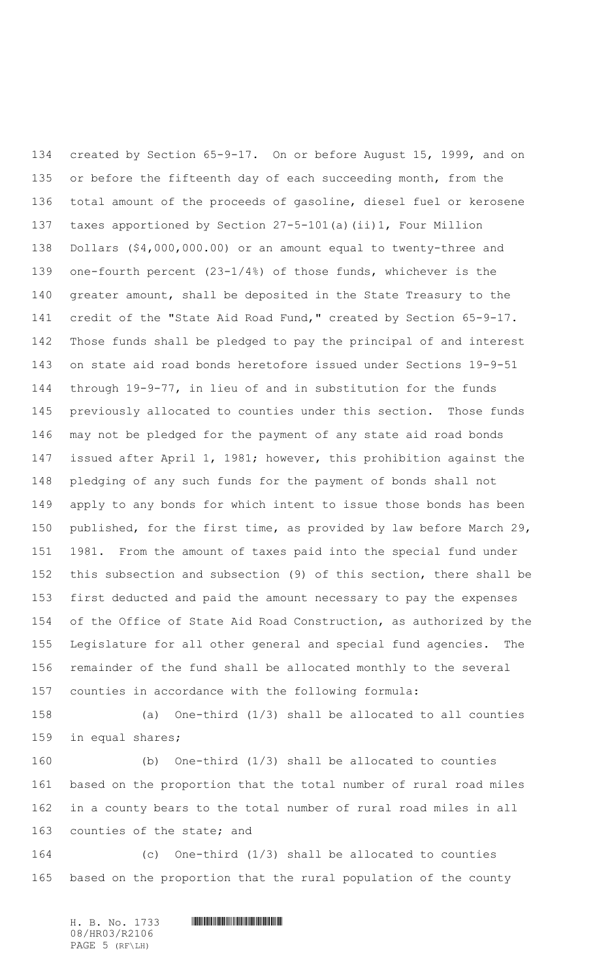created by Section 65-9-17. On or before August 15, 1999, and on 135 or before the fifteenth day of each succeeding month, from the total amount of the proceeds of gasoline, diesel fuel or kerosene taxes apportioned by Section 27-5-101(a)(ii)1, Four Million Dollars (\$4,000,000.00) or an amount equal to twenty-three and one-fourth percent (23-1/4%) of those funds, whichever is the greater amount, shall be deposited in the State Treasury to the credit of the "State Aid Road Fund," created by Section 65-9-17. Those funds shall be pledged to pay the principal of and interest on state aid road bonds heretofore issued under Sections 19-9-51 through 19-9-77, in lieu of and in substitution for the funds previously allocated to counties under this section. Those funds may not be pledged for the payment of any state aid road bonds issued after April 1, 1981; however, this prohibition against the pledging of any such funds for the payment of bonds shall not apply to any bonds for which intent to issue those bonds has been published, for the first time, as provided by law before March 29, 1981. From the amount of taxes paid into the special fund under this subsection and subsection (9) of this section, there shall be first deducted and paid the amount necessary to pay the expenses of the Office of State Aid Road Construction, as authorized by the Legislature for all other general and special fund agencies. The remainder of the fund shall be allocated monthly to the several counties in accordance with the following formula:

 (a) One-third (1/3) shall be allocated to all counties in equal shares;

 (b) One-third (1/3) shall be allocated to counties based on the proportion that the total number of rural road miles in a county bears to the total number of rural road miles in all counties of the state; and

 (c) One-third (1/3) shall be allocated to counties based on the proportion that the rural population of the county

08/HR03/R2106 PAGE 5 (RF\LH)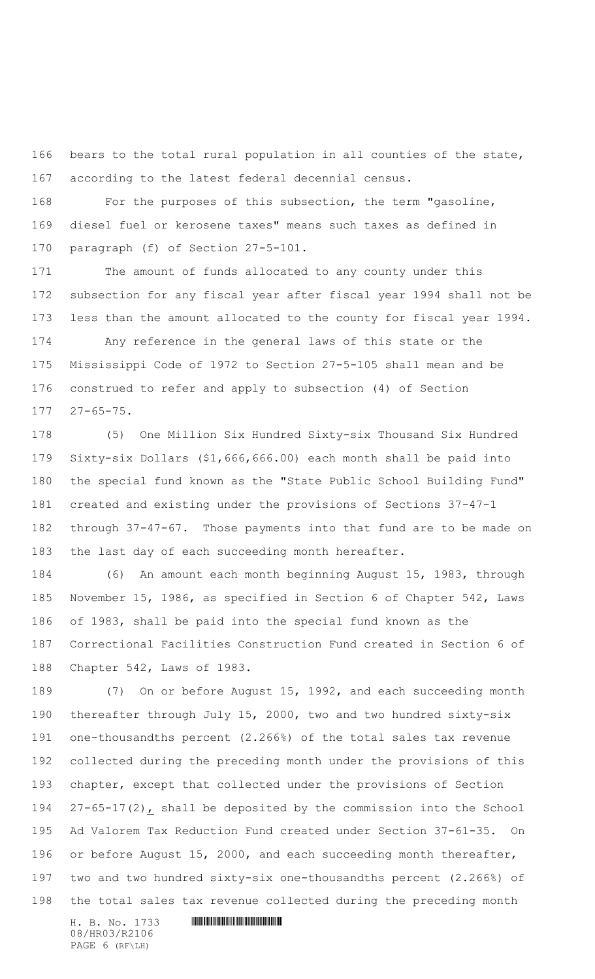bears to the total rural population in all counties of the state, according to the latest federal decennial census.

 For the purposes of this subsection, the term "gasoline, diesel fuel or kerosene taxes" means such taxes as defined in paragraph (f) of Section 27-5-101.

 The amount of funds allocated to any county under this subsection for any fiscal year after fiscal year 1994 shall not be less than the amount allocated to the county for fiscal year 1994.

 Any reference in the general laws of this state or the Mississippi Code of 1972 to Section 27-5-105 shall mean and be construed to refer and apply to subsection (4) of Section 27-65-75.

 (5) One Million Six Hundred Sixty-six Thousand Six Hundred Sixty-six Dollars (\$1,666,666.00) each month shall be paid into the special fund known as the "State Public School Building Fund" created and existing under the provisions of Sections 37-47-1 through 37-47-67. Those payments into that fund are to be made on the last day of each succeeding month hereafter.

 (6) An amount each month beginning August 15, 1983, through November 15, 1986, as specified in Section 6 of Chapter 542, Laws of 1983, shall be paid into the special fund known as the Correctional Facilities Construction Fund created in Section 6 of Chapter 542, Laws of 1983.

 (7) On or before August 15, 1992, and each succeeding month thereafter through July 15, 2000, two and two hundred sixty-six one-thousandths percent (2.266%) of the total sales tax revenue collected during the preceding month under the provisions of this chapter, except that collected under the provisions of Section 27-65-17(2), shall be deposited by the commission into the School Ad Valorem Tax Reduction Fund created under Section 37-61-35. On 196 or before August 15, 2000, and each succeeding month thereafter, two and two hundred sixty-six one-thousandths percent (2.266%) of the total sales tax revenue collected during the preceding month

H. B. No. 1733 **. HUNT AND SERVE AREA** 08/HR03/R2106 PAGE 6 (RF\LH)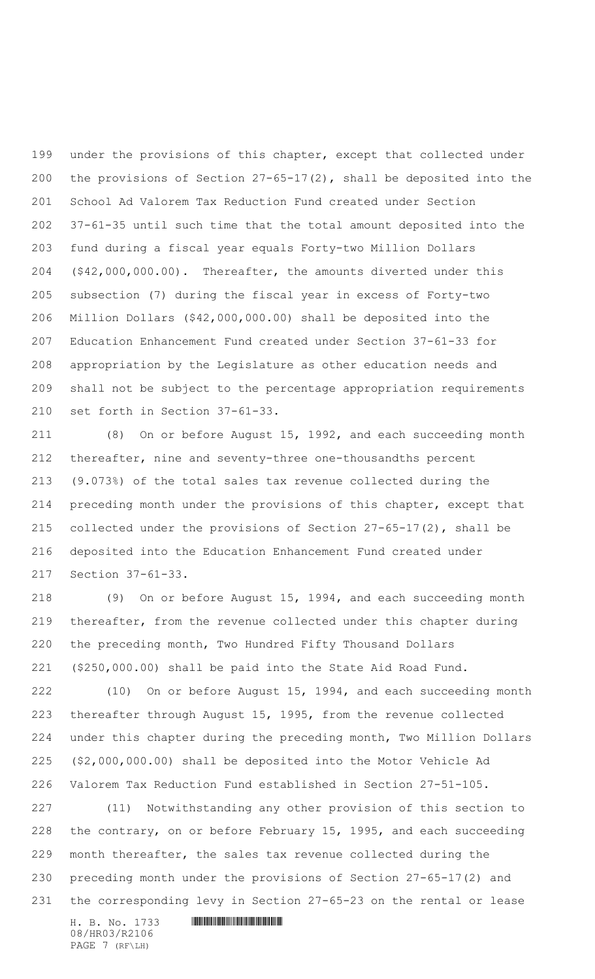199 under the provisions of this chapter, except that collected under the provisions of Section 27-65-17(2), shall be deposited into the School Ad Valorem Tax Reduction Fund created under Section 37-61-35 until such time that the total amount deposited into the fund during a fiscal year equals Forty-two Million Dollars (\$42,000,000.00). Thereafter, the amounts diverted under this subsection (7) during the fiscal year in excess of Forty-two Million Dollars (\$42,000,000.00) shall be deposited into the Education Enhancement Fund created under Section 37-61-33 for appropriation by the Legislature as other education needs and shall not be subject to the percentage appropriation requirements set forth in Section 37-61-33.

 (8) On or before August 15, 1992, and each succeeding month thereafter, nine and seventy-three one-thousandths percent (9.073%) of the total sales tax revenue collected during the preceding month under the provisions of this chapter, except that collected under the provisions of Section 27-65-17(2), shall be deposited into the Education Enhancement Fund created under Section 37-61-33.

 (9) On or before August 15, 1994, and each succeeding month thereafter, from the revenue collected under this chapter during the preceding month, Two Hundred Fifty Thousand Dollars (\$250,000.00) shall be paid into the State Aid Road Fund.

 (10) On or before August 15, 1994, and each succeeding month thereafter through August 15, 1995, from the revenue collected under this chapter during the preceding month, Two Million Dollars (\$2,000,000.00) shall be deposited into the Motor Vehicle Ad Valorem Tax Reduction Fund established in Section 27-51-105.

 (11) Notwithstanding any other provision of this section to the contrary, on or before February 15, 1995, and each succeeding month thereafter, the sales tax revenue collected during the preceding month under the provisions of Section 27-65-17(2) and the corresponding levy in Section 27-65-23 on the rental or lease

H. B. No. 1733 **. HUNT AND SERVE AREA** 08/HR03/R2106 PAGE 7 (RF\LH)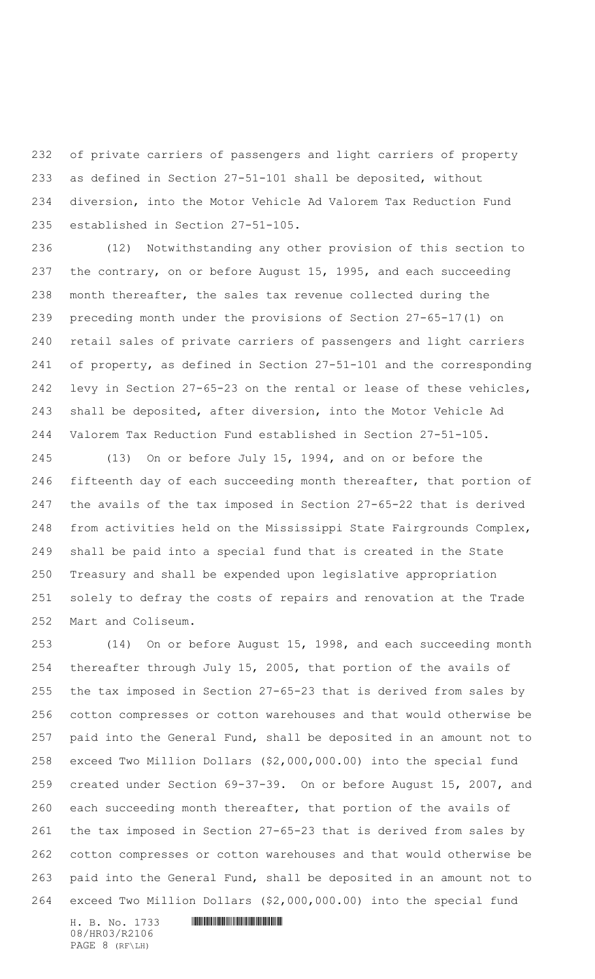of private carriers of passengers and light carriers of property as defined in Section 27-51-101 shall be deposited, without diversion, into the Motor Vehicle Ad Valorem Tax Reduction Fund established in Section 27-51-105.

 (12) Notwithstanding any other provision of this section to 237 the contrary, on or before August 15, 1995, and each succeeding month thereafter, the sales tax revenue collected during the preceding month under the provisions of Section 27-65-17(1) on retail sales of private carriers of passengers and light carriers of property, as defined in Section 27-51-101 and the corresponding levy in Section 27-65-23 on the rental or lease of these vehicles, shall be deposited, after diversion, into the Motor Vehicle Ad Valorem Tax Reduction Fund established in Section 27-51-105.

 (13) On or before July 15, 1994, and on or before the 246 fifteenth day of each succeeding month thereafter, that portion of the avails of the tax imposed in Section 27-65-22 that is derived from activities held on the Mississippi State Fairgrounds Complex, shall be paid into a special fund that is created in the State Treasury and shall be expended upon legislative appropriation solely to defray the costs of repairs and renovation at the Trade Mart and Coliseum.

 (14) On or before August 15, 1998, and each succeeding month thereafter through July 15, 2005, that portion of the avails of the tax imposed in Section 27-65-23 that is derived from sales by cotton compresses or cotton warehouses and that would otherwise be paid into the General Fund, shall be deposited in an amount not to exceed Two Million Dollars (\$2,000,000.00) into the special fund created under Section 69-37-39. On or before August 15, 2007, and 260 each succeeding month thereafter, that portion of the avails of the tax imposed in Section 27-65-23 that is derived from sales by cotton compresses or cotton warehouses and that would otherwise be paid into the General Fund, shall be deposited in an amount not to exceed Two Million Dollars (\$2,000,000.00) into the special fund

H. B. No. 1733 **HIMMAN AND AND AN AND AN ANGLE OF A LIM** 08/HR03/R2106 PAGE 8 (RF\LH)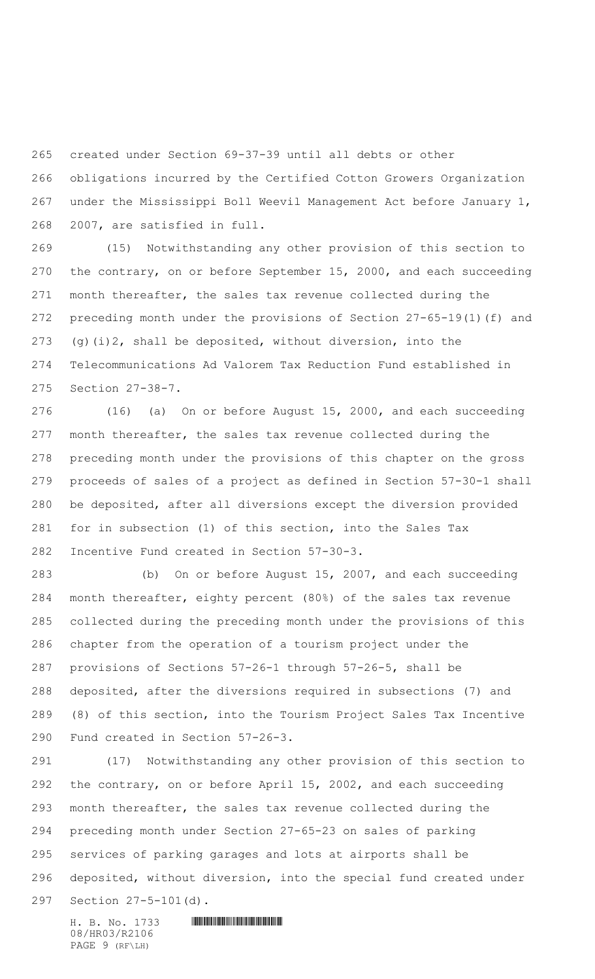created under Section 69-37-39 until all debts or other

 obligations incurred by the Certified Cotton Growers Organization under the Mississippi Boll Weevil Management Act before January 1, 2007, are satisfied in full.

 (15) Notwithstanding any other provision of this section to the contrary, on or before September 15, 2000, and each succeeding month thereafter, the sales tax revenue collected during the preceding month under the provisions of Section 27-65-19(1)(f) and 273 (g)(i)2, shall be deposited, without diversion, into the Telecommunications Ad Valorem Tax Reduction Fund established in Section 27-38-7.

 (16) (a) On or before August 15, 2000, and each succeeding month thereafter, the sales tax revenue collected during the preceding month under the provisions of this chapter on the gross proceeds of sales of a project as defined in Section 57-30-1 shall be deposited, after all diversions except the diversion provided for in subsection (1) of this section, into the Sales Tax Incentive Fund created in Section 57-30-3.

 (b) On or before August 15, 2007, and each succeeding month thereafter, eighty percent (80%) of the sales tax revenue collected during the preceding month under the provisions of this chapter from the operation of a tourism project under the provisions of Sections 57-26-1 through 57-26-5, shall be deposited, after the diversions required in subsections (7) and (8) of this section, into the Tourism Project Sales Tax Incentive Fund created in Section 57-26-3.

 (17) Notwithstanding any other provision of this section to the contrary, on or before April 15, 2002, and each succeeding month thereafter, the sales tax revenue collected during the preceding month under Section 27-65-23 on sales of parking services of parking garages and lots at airports shall be deposited, without diversion, into the special fund created under Section 27-5-101(d).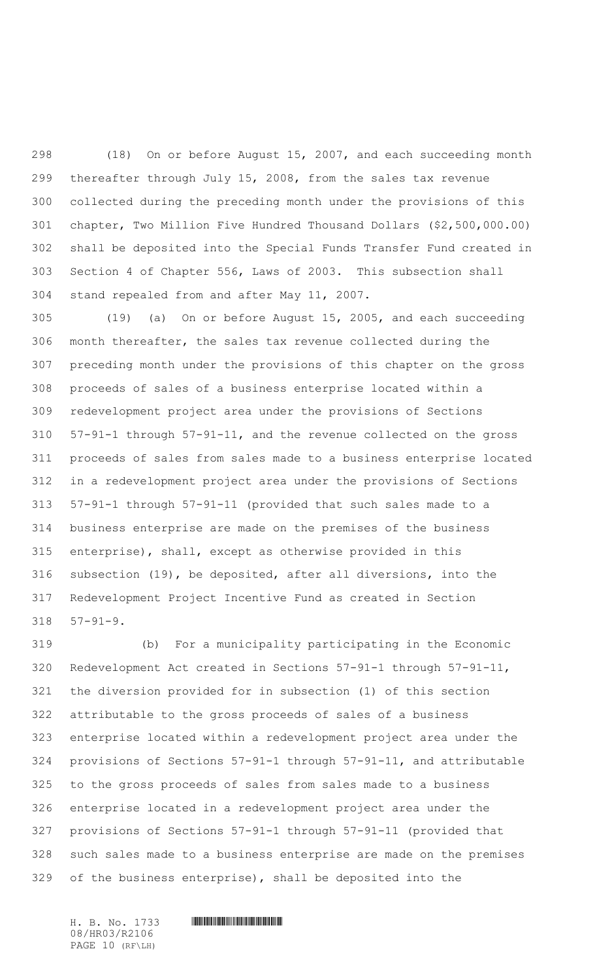(18) On or before August 15, 2007, and each succeeding month thereafter through July 15, 2008, from the sales tax revenue collected during the preceding month under the provisions of this chapter, Two Million Five Hundred Thousand Dollars (\$2,500,000.00) shall be deposited into the Special Funds Transfer Fund created in Section 4 of Chapter 556, Laws of 2003. This subsection shall stand repealed from and after May 11, 2007.

 (19) (a) On or before August 15, 2005, and each succeeding month thereafter, the sales tax revenue collected during the preceding month under the provisions of this chapter on the gross proceeds of sales of a business enterprise located within a redevelopment project area under the provisions of Sections 57-91-1 through 57-91-11, and the revenue collected on the gross proceeds of sales from sales made to a business enterprise located in a redevelopment project area under the provisions of Sections 57-91-1 through 57-91-11 (provided that such sales made to a business enterprise are made on the premises of the business enterprise), shall, except as otherwise provided in this subsection (19), be deposited, after all diversions, into the Redevelopment Project Incentive Fund as created in Section 57-91-9.

 (b) For a municipality participating in the Economic Redevelopment Act created in Sections 57-91-1 through 57-91-11, the diversion provided for in subsection (1) of this section attributable to the gross proceeds of sales of a business enterprise located within a redevelopment project area under the provisions of Sections 57-91-1 through 57-91-11, and attributable to the gross proceeds of sales from sales made to a business enterprise located in a redevelopment project area under the provisions of Sections 57-91-1 through 57-91-11 (provided that such sales made to a business enterprise are made on the premises of the business enterprise), shall be deposited into the

08/HR03/R2106 PAGE 10 (RF\LH)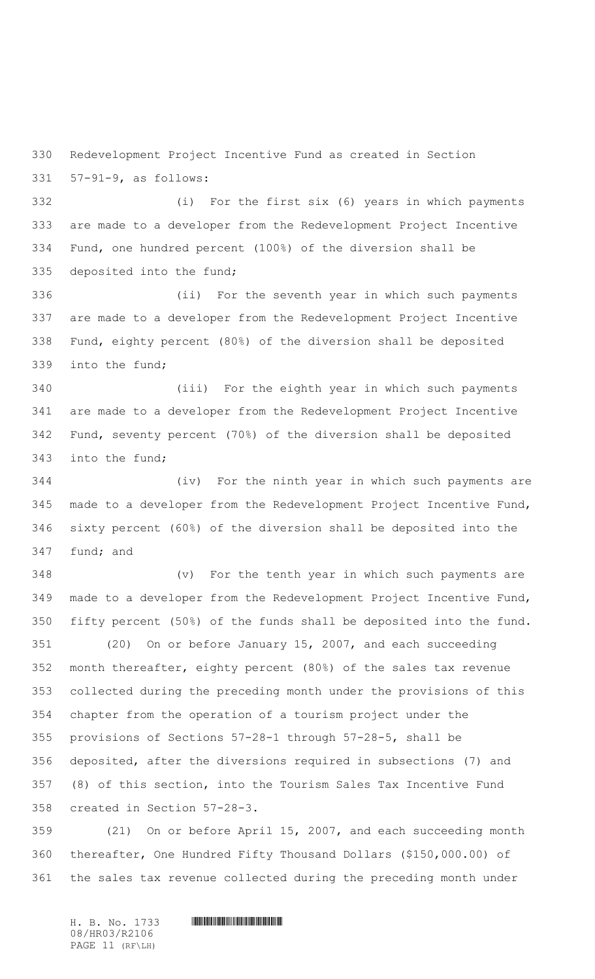Redevelopment Project Incentive Fund as created in Section 57-91-9, as follows:

 (i) For the first six (6) years in which payments are made to a developer from the Redevelopment Project Incentive Fund, one hundred percent (100%) of the diversion shall be deposited into the fund;

 (ii) For the seventh year in which such payments are made to a developer from the Redevelopment Project Incentive Fund, eighty percent (80%) of the diversion shall be deposited into the fund;

 (iii) For the eighth year in which such payments are made to a developer from the Redevelopment Project Incentive Fund, seventy percent (70%) of the diversion shall be deposited into the fund;

 (iv) For the ninth year in which such payments are made to a developer from the Redevelopment Project Incentive Fund, sixty percent (60%) of the diversion shall be deposited into the fund; and

 (v) For the tenth year in which such payments are made to a developer from the Redevelopment Project Incentive Fund, fifty percent (50%) of the funds shall be deposited into the fund.

 (20) On or before January 15, 2007, and each succeeding month thereafter, eighty percent (80%) of the sales tax revenue collected during the preceding month under the provisions of this chapter from the operation of a tourism project under the provisions of Sections 57-28-1 through 57-28-5, shall be deposited, after the diversions required in subsections (7) and (8) of this section, into the Tourism Sales Tax Incentive Fund created in Section 57-28-3.

 (21) On or before April 15, 2007, and each succeeding month thereafter, One Hundred Fifty Thousand Dollars (\$150,000.00) of the sales tax revenue collected during the preceding month under

08/HR03/R2106 PAGE 11 (RF\LH)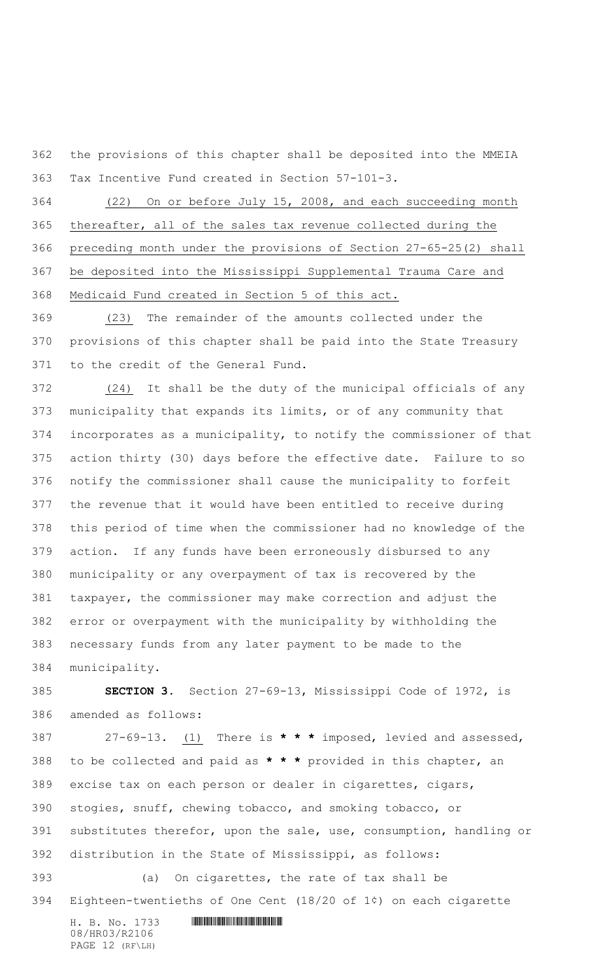the provisions of this chapter shall be deposited into the MMEIA Tax Incentive Fund created in Section 57-101-3.

 (22) On or before July 15, 2008, and each succeeding month thereafter, all of the sales tax revenue collected during the preceding month under the provisions of Section 27-65-25(2) shall be deposited into the Mississippi Supplemental Trauma Care and Medicaid Fund created in Section 5 of this act.

 (23) The remainder of the amounts collected under the provisions of this chapter shall be paid into the State Treasury to the credit of the General Fund.

 (24) It shall be the duty of the municipal officials of any municipality that expands its limits, or of any community that incorporates as a municipality, to notify the commissioner of that action thirty (30) days before the effective date. Failure to so notify the commissioner shall cause the municipality to forfeit the revenue that it would have been entitled to receive during this period of time when the commissioner had no knowledge of the action. If any funds have been erroneously disbursed to any municipality or any overpayment of tax is recovered by the taxpayer, the commissioner may make correction and adjust the error or overpayment with the municipality by withholding the necessary funds from any later payment to be made to the municipality.

 **SECTION 3.** Section 27-69-13, Mississippi Code of 1972, is amended as follows:

 27-69-13. (1) There is **\* \* \*** imposed, levied and assessed, to be collected and paid as **\* \* \*** provided in this chapter, an excise tax on each person or dealer in cigarettes, cigars, stogies, snuff, chewing tobacco, and smoking tobacco, or substitutes therefor, upon the sale, use, consumption, handling or distribution in the State of Mississippi, as follows: (a) On cigarettes, the rate of tax shall be

Eighteen-twentieths of One Cent (18/20 of 1¢) on each cigarette

H. B. No. 1733 **HIMMAN AND AND AN AND AN ANGLE OF A LIM** 08/HR03/R2106 PAGE 12 (RF\LH)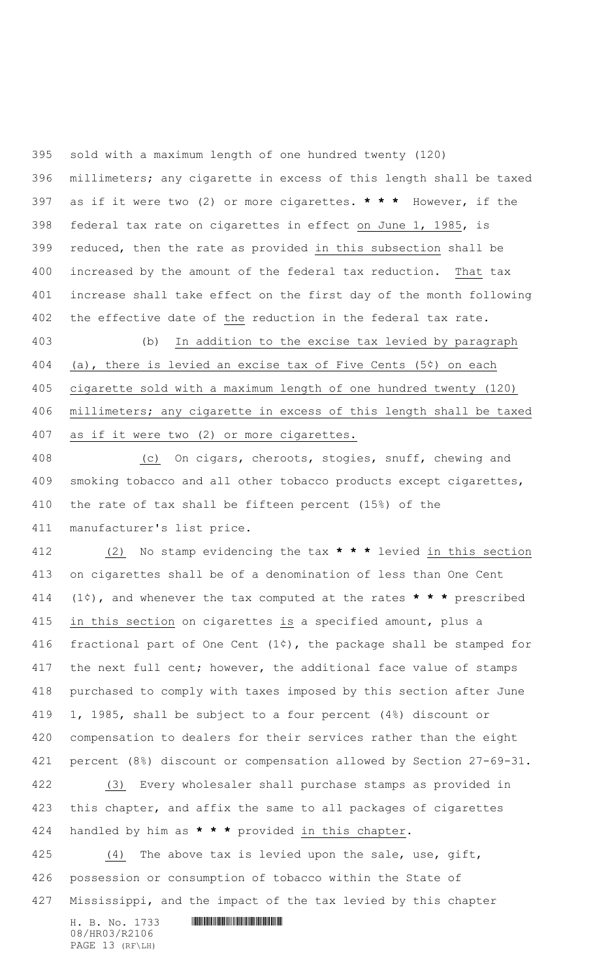sold with a maximum length of one hundred twenty (120) millimeters; any cigarette in excess of this length shall be taxed as if it were two (2) or more cigarettes. **\* \* \*** However, if the federal tax rate on cigarettes in effect on June 1, 1985, is reduced, then the rate as provided in this subsection shall be increased by the amount of the federal tax reduction. That tax increase shall take effect on the first day of the month following the effective date of the reduction in the federal tax rate.

 (b) In addition to the excise tax levied by paragraph (a), there is levied an excise tax of Five Cents (5¢) on each cigarette sold with a maximum length of one hundred twenty (120) millimeters; any cigarette in excess of this length shall be taxed as if it were two (2) or more cigarettes.

 (c) On cigars, cheroots, stogies, snuff, chewing and smoking tobacco and all other tobacco products except cigarettes, the rate of tax shall be fifteen percent (15%) of the manufacturer's list price.

 (2) No stamp evidencing the tax **\* \* \*** levied in this section on cigarettes shall be of a denomination of less than One Cent (1¢), and whenever the tax computed at the rates **\* \* \*** prescribed in this section on cigarettes is a specified amount, plus a 416 fractional part of One Cent  $(1¢)$ , the package shall be stamped for 417 the next full cent; however, the additional face value of stamps purchased to comply with taxes imposed by this section after June 1, 1985, shall be subject to a four percent (4%) discount or compensation to dealers for their services rather than the eight percent (8%) discount or compensation allowed by Section 27-69-31. (3) Every wholesaler shall purchase stamps as provided in

 this chapter, and affix the same to all packages of cigarettes handled by him as **\* \* \*** provided in this chapter.

425 (4) The above tax is levied upon the sale, use, gift, possession or consumption of tobacco within the State of Mississippi, and the impact of the tax levied by this chapter

H. B. No. 1733 **. HUNT AND SERVE AREA** 08/HR03/R2106 PAGE 13 (RF\LH)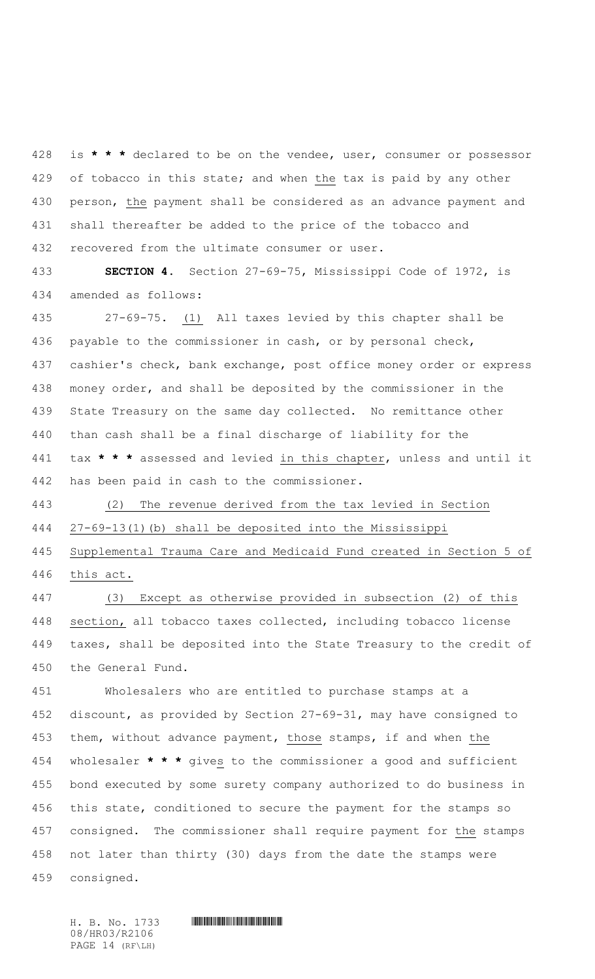is **\* \* \*** declared to be on the vendee, user, consumer or possessor of tobacco in this state; and when the tax is paid by any other person, the payment shall be considered as an advance payment and shall thereafter be added to the price of the tobacco and recovered from the ultimate consumer or user.

 **SECTION 4.** Section 27-69-75, Mississippi Code of 1972, is amended as follows:

 27-69-75. (1) All taxes levied by this chapter shall be payable to the commissioner in cash, or by personal check, 437 cashier's check, bank exchange, post office money order or express money order, and shall be deposited by the commissioner in the State Treasury on the same day collected. No remittance other than cash shall be a final discharge of liability for the tax **\* \* \*** assessed and levied in this chapter, unless and until it has been paid in cash to the commissioner.

 (2) The revenue derived from the tax levied in Section 27-69-13(1)(b) shall be deposited into the Mississippi

 Supplemental Trauma Care and Medicaid Fund created in Section 5 of this act.

 (3) Except as otherwise provided in subsection (2) of this section, all tobacco taxes collected, including tobacco license taxes, shall be deposited into the State Treasury to the credit of the General Fund.

 Wholesalers who are entitled to purchase stamps at a discount, as provided by Section 27-69-31, may have consigned to them, without advance payment, those stamps, if and when the wholesaler **\* \* \*** gives to the commissioner a good and sufficient bond executed by some surety company authorized to do business in this state, conditioned to secure the payment for the stamps so consigned. The commissioner shall require payment for the stamps not later than thirty (30) days from the date the stamps were consigned.

08/HR03/R2106 PAGE 14 (RF\LH)